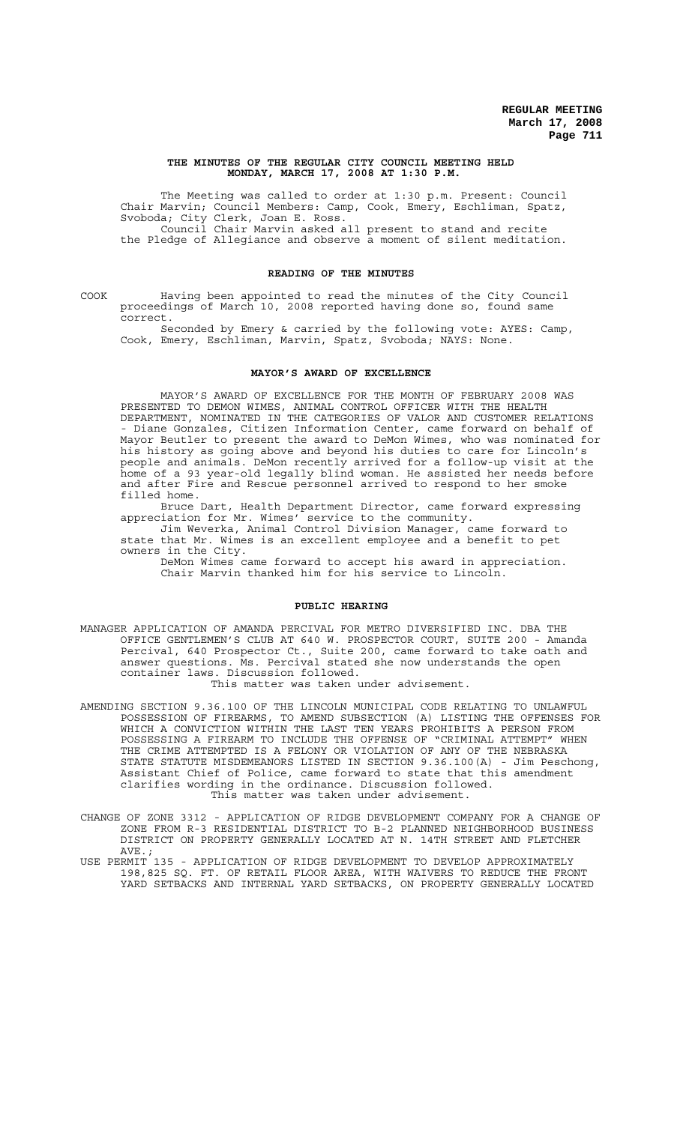#### **THE MINUTES OF THE REGULAR CITY COUNCIL MEETING HELD MONDAY, MARCH 17, 2008 AT 1:30 P.M.**

The Meeting was called to order at 1:30 p.m. Present: Council Chair Marvin; Council Members: Camp, Cook, Emery, Eschliman, Spatz, Svoboda; City Clerk, Joan E. Ross. Council Chair Marvin asked all present to stand and recite the Pledge of Allegiance and observe a moment of silent meditation.

#### **READING OF THE MINUTES**

COOK Having been appointed to read the minutes of the City Council proceedings of March 10, 2008 reported having done so, found same correct.

Seconded by Emery & carried by the following vote: AYES: Camp, Cook, Emery, Eschliman, Marvin, Spatz, Svoboda; NAYS: None.

#### **MAYOR'S AWARD OF EXCELLENCE**

MAYOR'S AWARD OF EXCELLENCE FOR THE MONTH OF FEBRUARY 2008 WAS PRESENTED TO DEMON WIMES, ANIMAL CONTROL OFFICER WITH THE HEALTH DEPARTMENT, NOMINATED IN THE CATEGORIES OF VALOR AND CUSTOMER RELATIONS - Diane Gonzales, Citizen Information Center, came forward on behalf of Mayor Beutler to present the award to DeMon Wimes, who was nominated for his history as going above and beyond his duties to care for Lincoln's people and animals. DeMon recently arrived for a follow-up visit at the home of a 93 year-old legally blind woman. He assisted her needs before and after Fire and Rescue personnel arrived to respond to her smoke filled home.

Bruce Dart, Health Department Director, came forward expressing appreciation for Mr. Wimes' service to the community.

Jim Weverka, Animal Control Division Manager, came forward to state that Mr. Wimes is an excellent employee and a benefit to pet owners in the City.

DeMon Wimes came forward to accept his award in appreciation. Chair Marvin thanked him for his service to Lincoln.

#### **PUBLIC HEARING**

- MANAGER APPLICATION OF AMANDA PERCIVAL FOR METRO DIVERSIFIED INC. DBA THE OFFICE GENTLEMEN'S CLUB AT 640 W. PROSPECTOR COURT, SUITE 200 - Amanda Percival, 640 Prospector Ct., Suite 200, came forward to take oath and answer questions. Ms. Percival stated she now understands the open container laws. Discussion followed. This matter was taken under advisement.
- AMENDING SECTION 9.36.100 OF THE LINCOLN MUNICIPAL CODE RELATING TO UNLAWFUL POSSESSION OF FIREARMS, TO AMEND SUBSECTION (A) LISTING THE OFFENSES FOR WHICH A CONVICTION WITHIN THE LAST TEN YEARS PROHIBITS A PERSON FROM POSSESSING A FIREARM TO INCLUDE THE OFFENSE OF "CRIMINAL ATTEMPT" WHEN THE CRIME ATTEMPTED IS A FELONY OR VIOLATION OF ANY OF THE NEBRASKA STATE STATUTE MISDEMEANORS LISTED IN SECTION 9.36.100(A) - Jim Peschong, Assistant Chief of Police, came forward to state that this amendment clarifies wording in the ordinance. Discussion followed. This matter was taken under advisement.
- CHANGE OF ZONE 3312 APPLICATION OF RIDGE DEVELOPMENT COMPANY FOR A CHANGE OF ZONE FROM R-3 RESIDENTIAL DISTRICT TO B-2 PLANNED NEIGHBORHOOD BUSINESS DISTRICT ON PROPERTY GENERALLY LOCATED AT N. 14TH STREET AND FLETCHER AVE.;<br>USE PERMIT
- 135 APPLICATION OF RIDGE DEVELOPMENT TO DEVELOP APPROXIMATELY 198,825 SQ. FT. OF RETAIL FLOOR AREA, WITH WAIVERS TO REDUCE THE FRONT YARD SETBACKS AND INTERNAL YARD SETBACKS, ON PROPERTY GENERALLY LOCATED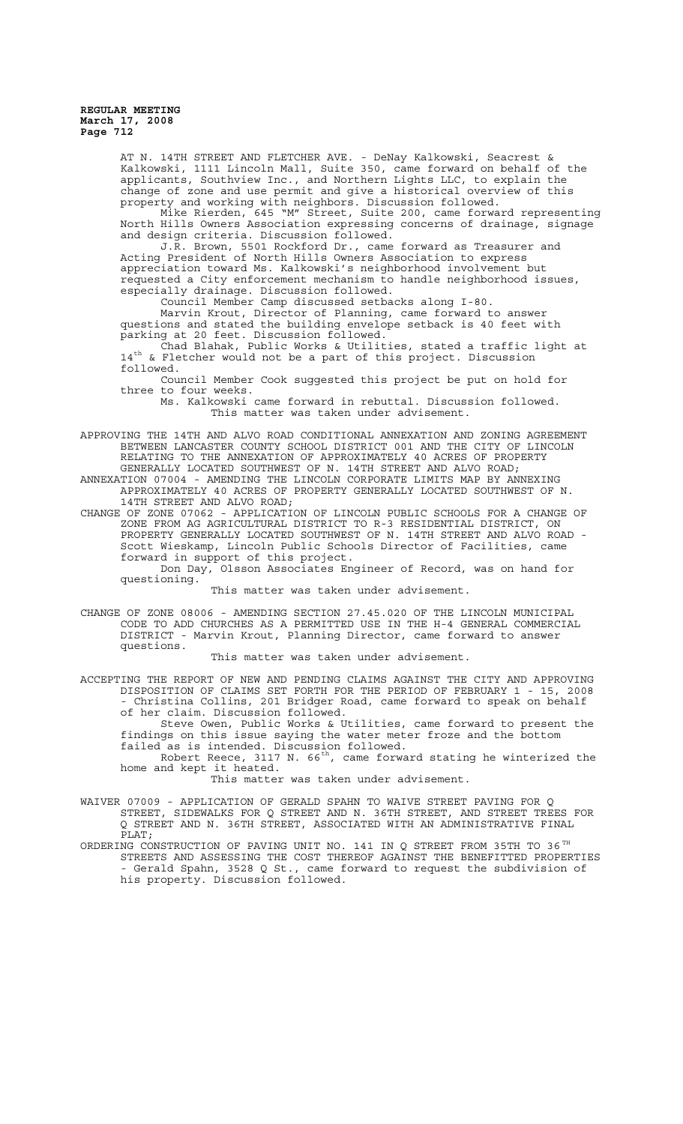> AT N. 14TH STREET AND FLETCHER AVE. - DeNay Kalkowski, Seacrest & Kalkowski, 1111 Lincoln Mall, Suite 350, came forward on behalf of the applicants, Southview Inc., and Northern Lights LLC, to explain the change of zone and use permit and give a historical overview of this property and working with neighbors. Discussion followed.

Mike Rierden, 645 "M" Street, Suite 200, came forward representing North Hills Owners Association expressing concerns of drainage, signage and design criteria. Discussion followed.

J.R. Brown, 5501 Rockford Dr., came forward as Treasurer and Acting President of North Hills Owners Association to express appreciation toward Ms. Kalkowski's neighborhood involvement but requested a City enforcement mechanism to handle neighborhood issues, especially drainage. Discussion followed.

Council Member Camp discussed setbacks along I-80. Marvin Krout, Director of Planning, came forward to answer questions and stated the building envelope setback is 40 feet with parking at 20 feet. Discussion followed.

Chad Blahak, Public Works & Utilities, stated a traffic light at 14<sup>th</sup> & Fletcher would not be a part of this project. Discussion followed.

Council Member Cook suggested this project be put on hold for three to four weeks.

Ms. Kalkowski came forward in rebuttal. Discussion followed. This matter was taken under advisement.

APPROVING THE 14TH AND ALVO ROAD CONDITIONAL ANNEXATION AND ZONING AGREEMENT BETWEEN LANCASTER COUNTY SCHOOL DISTRICT 001 AND THE CITY OF LINCOLN RELATING TO THE ANNEXATION OF APPROXIMATELY 40 ACRES OF PROPERTY RELATING TO THE ANNEXATION OF APPROXIMATELY 40 ACRES OF GENERALLY LOCATED SOUTHWEST OF N. 14TH STREET AND ALVO ROAD;

ANNEXATION 07004 - AMENDING THE LINCOLN CORPORATE LIMITS MAP BY ANNEXING APPROXIMATELY 40 ACRES OF PROPERTY GENERALLY LOCATED SOUTHWEST OF N. 14TH STREET AND ALVO ROAD;

CHANGE OF ZONE 07062 - APPLICATION OF LINCOLN PUBLIC SCHOOLS FOR A CHANGE OF ZONE FROM AG AGRICULTURAL DISTRICT TO R-3 RESIDENTIAL DISTRICT, ON PROPERTY GENERALLY LOCATED SOUTHWEST OF N. 14TH STREET AND ALVO ROAD - Scott Wieskamp, Lincoln Public Schools Director of Facilities, came forward in support of this project.

Don Day, Olsson Associates Engineer of Record, was on hand for questioning.

This matter was taken under advisement.

CHANGE OF ZONE 08006 - AMENDING SECTION 27.45.020 OF THE LINCOLN MUNICIPAL CODE TO ADD CHURCHES AS A PERMITTED USE IN THE H-4 GENERAL COMMERCIAL DISTRICT - Marvin Krout, Planning Director, came forward to answer questions.

This matter was taken under advisement.

ACCEPTING THE REPORT OF NEW AND PENDING CLAIMS AGAINST THE CITY AND APPROVING DISPOSITION OF CLAIMS SET FORTH FOR THE PERIOD OF FEBRUARY 1 - 15, 2008 - Christina Collins, 201 Bridger Road, came forward to speak on behalf of her claim. Discussion followed.

Steve Owen, Public Works & Utilities, came forward to present the findings on this issue saying the water meter froze and the bottom failed as is intended. Discussion followed.

Robert Reece, 3117 N.  $66<sup>th</sup>$ , came forward stating he winterized the home and kept it heated.

This matter was taken under advisement.

WAIVER 07009 - APPLICATION OF GERALD SPAHN TO WAIVE STREET PAVING FOR Q STREET, SIDEWALKS FOR Q STREET AND N. 36TH STREET, AND STREET TREES FOR Q STREET AND N. 36TH STREET, ASSOCIATED WITH AN ADMINISTRATIVE FINAL PLAT;

ORDERING CONSTRUCTION OF PAVING UNIT NO. 141 IN Q STREET FROM 35TH TO 36 TH STREETS AND ASSESSING THE COST THEREOF AGAINST THE BENEFITTED PROPERTIES - Gerald Spahn, 3528 Q St., came forward to request the subdivision of his property. Discussion followed.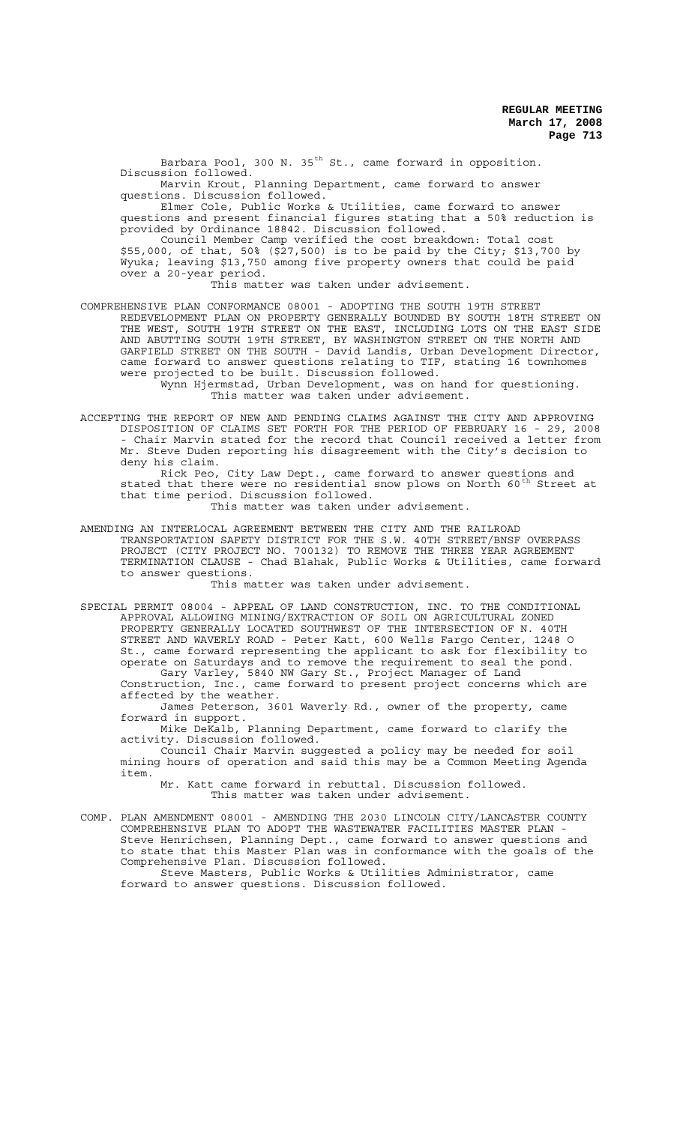Barbara Pool, 300 N.  $35<sup>th</sup>$  St., came forward in opposition. Discussion followed.

Marvin Krout, Planning Department, came forward to answer questions. Discussion followed.

Elmer Cole, Public Works & Utilities, came forward to answer questions and present financial figures stating that a 50% reduction is provided by Ordinance 18842. Discussion followed.

Council Member Camp verified the cost breakdown: Total cost \$55,000, of that, 50% (\$27,500) is to be paid by the City; \$13,700 by Wyuka; leaving \$13,750 among five property owners that could be paid over a 20-year period.

This matter was taken under advisement.

COMPREHENSIVE PLAN CONFORMANCE 08001 - ADOPTING THE SOUTH 19TH STREET REDEVELOPMENT PLAN ON PROPERTY GENERALLY BOUNDED BY SOUTH 18TH STREET ON THE WEST, SOUTH 19TH STREET ON THE EAST, INCLUDING LOTS ON THE EAST SIDE AND ABUTTING SOUTH 19TH STREET, BY WASHINGTON STREET ON THE NORTH AND GARFIELD STREET ON THE SOUTH - David Landis, Urban Development Director, came forward to answer questions relating to TIF, stating 16 townhomes were projected to be built. Discussion followed.

> Wynn Hjermstad, Urban Development, was on hand for questioning. This matter was taken under advisement.

ACCEPTING THE REPORT OF NEW AND PENDING CLAIMS AGAINST THE CITY AND APPROVING DISPOSITION OF CLAIMS SET FORTH FOR THE PERIOD OF FEBRUARY 16 - 29, 2008 - Chair Marvin stated for the record that Council received a letter from Mr. Steve Duden reporting his disagreement with the City's decision to deny his claim.

Rick Peo, City Law Dept., came forward to answer questions and stated that there were no residential snow plows on North 60<sup>th</sup> Street at that time period. Discussion followed.

This matter was taken under advisement.

AMENDING AN INTERLOCAL AGREEMENT BETWEEN THE CITY AND THE RAILROAD TRANSPORTATION SAFETY DISTRICT FOR THE S.W. 40TH STREET/BNSF OVERPASS PROJECT (CITY PROJECT NO. 700132) TO REMOVE THE THREE YEAR AGREEMENT TERMINATION CLAUSE - Chad Blahak, Public Works & Utilities, came forward to answer questions.

This matter was taken under advisement.

SPECIAL PERMIT 08004 - APPEAL OF LAND CONSTRUCTION, INC. TO THE CONDITIONAL APPROVAL ALLOWING MINING/EXTRACTION OF SOIL ON AGRICULTURAL ZONED PROPERTY GENERALLY LOCATED SOUTHWEST OF THE INTERSECTION OF N. 40TH STREET AND WAVERLY ROAD - Peter Katt, 600 Wells Fargo Center, 1248 O St., came forward representing the applicant to ask for flexibility to operate on Saturdays and to remove the requirement to seal the pond. Gary Varley, 5840 NW Gary St., Project Manager of Land Construction, Inc., came forward to present project concerns which are affected by the weather.

James Peterson, 3601 Waverly Rd., owner of the property, came forward in support.

Mike DeKalb, Planning Department, came forward to clarify the activity. Discussion followed.

Council Chair Marvin suggested a policy may be needed for soil mining hours of operation and said this may be a Common Meeting Agenda item.

Mr. Katt came forward in rebuttal. Discussion followed. This matter was taken under advisement.

COMP. PLAN AMENDMENT 08001 - AMENDING THE 2030 LINCOLN CITY/LANCASTER COUNTY COMPREHENSIVE PLAN TO ADOPT THE WASTEWATER FACILITIES MASTER PLAN - Steve Henrichsen, Planning Dept., came forward to answer questions and to state that this Master Plan was in conformance with the goals of the Comprehensive Plan. Discussion followed.

Steve Masters, Public Works & Utilities Administrator, came forward to answer questions. Discussion followed.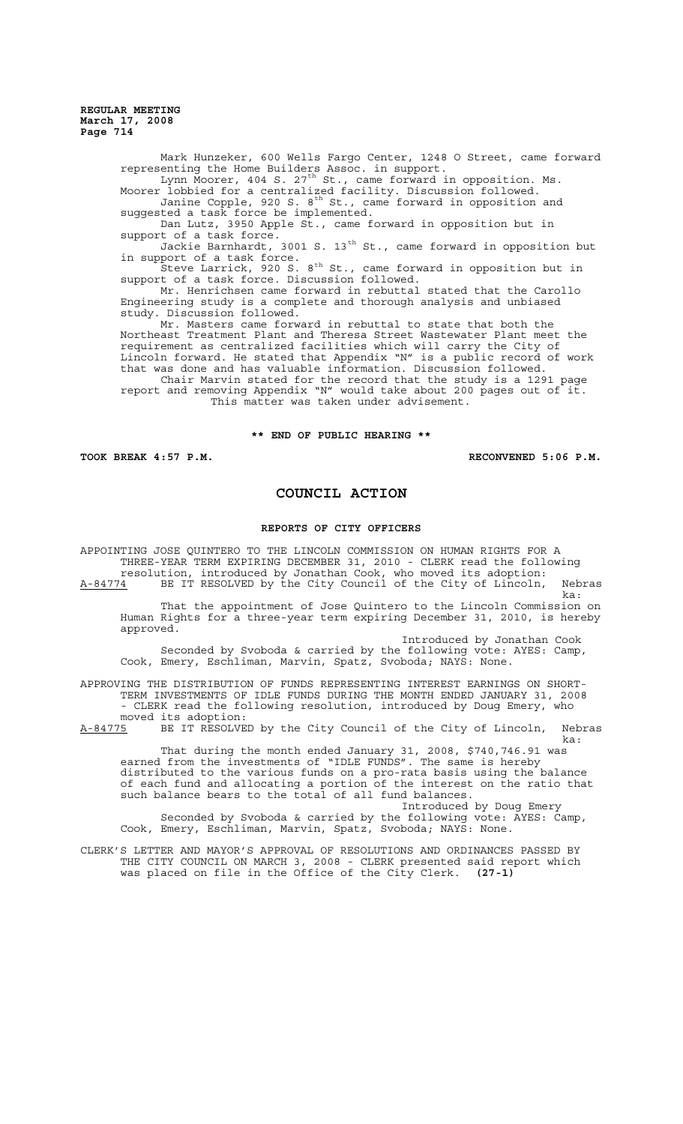> Mark Hunzeker, 600 Wells Fargo Center, 1248 O Street, came forward representing the Home Builders Assoc. in support. Lynn Moorer, 404 S. 27<sup>th</sup> St., came forward in opposition. Ms. Moorer lobbied for a centralized facility. Discussion followed. Janine Copple, 920 S. 8<sup>th</sup> St., came forward in opposition and suggested a task force be implemented. Dan Lutz, 3950 Apple St., came forward in opposition but in support of a task force. Jackie Barnhardt, 3001 S. 13<sup>th</sup> St., came forward in opposition but in support of a task force. .<br>Steve Larrick, 920 S. 8<sup>th</sup> St., came forward in opposition but in support of a task force. Discussion followed. Mr. Henrichsen came forward in rebuttal stated that the Carollo Engineering study is a complete and thorough analysis and unbiased study. Discussion followed. Mr. Masters came forward in rebuttal to state that both the Northeast Treatment Plant and Theresa Street Wastewater Plant meet the requirement as centralized facilities which will carry the City of Lincoln forward. He stated that Appendix "N" is a public record of work that was done and has valuable information. Discussion followed. Chair Marvin stated for the record that the study is a 1291 page report and removing Appendix "N" would take about 200 pages out of it. This matter was taken under advisement.

## **\*\* END OF PUBLIC HEARING \*\***

**TOOK BREAK 4:57 P.M. RECONVENED 5:06 P.M.**

## **COUNCIL ACTION**

## **REPORTS OF CITY OFFICERS**

APPOINTING JOSE QUINTERO TO THE LINCOLN COMMISSION ON HUMAN RIGHTS FOR A THREE-YEAR TERM EXPIRING DECEMBER 31, 2010 - CLERK read the following resolution, introduced by Jonathan Cook, who moved its adoption: A-84774 BE IT RESOLVED by the City Council of the City of Lincoln, Nebras ka: That the appointment of Jose Quintero to the Lincoln Commission on Human Rights for a three-year term expiring December 31, 2010, is hereby approved. Introduced by Jonathan Cook

Seconded by Svoboda & carried by the following vote: AYES: Camp, Cook, Emery, Eschliman, Marvin, Spatz, Svoboda; NAYS: None.

APPROVING THE DISTRIBUTION OF FUNDS REPRESENTING INTEREST EARNINGS ON SHORT-TERM INVESTMENTS OF IDLE FUNDS DURING THE MONTH ENDED JANUARY 31, 2008 - CLERK read the following resolution, introduced by Doug Emery, who moved its adoption:

A-84775 BE IT RESOLVED by the City Council of the City of Lincoln, Nebras ka:

That during the month ended January 31, 2008, \$740,746.91 was earned from the investments of "IDLE FUNDS". The same is hereby distributed to the various funds on a pro-rata basis using the balance of each fund and allocating a portion of the interest on the ratio that such balance bears to the total of all fund balances.

Introduced by Doug Emery Seconded by Svoboda & carried by the following vote: AYES: Camp, Cook, Emery, Eschliman, Marvin, Spatz, Svoboda; NAYS: None.

CLERK'S LETTER AND MAYOR'S APPROVAL OF RESOLUTIONS AND ORDINANCES PASSED BY THE CITY COUNCIL ON MARCH 3, 2008 - CLERK presented said report which was placed on file in the Office of the City Clerk. **(27-1)**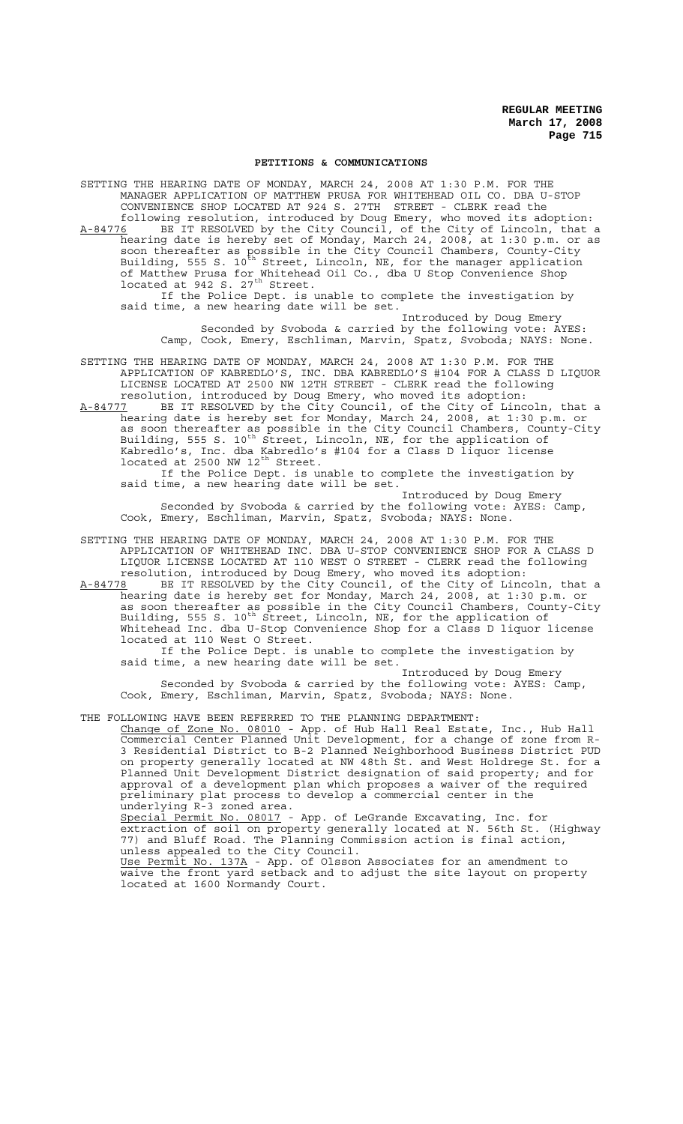#### **PETITIONS & COMMUNICATIONS**

SETTING THE HEARING DATE OF MONDAY, MARCH 24, 2008 AT 1:30 P.M. FOR THE MANAGER APPLICATION OF MATTHEW PRUSA FOR WHITEHEAD OIL CO. DBA U-STOP CONVENIENCE SHOP LOCATED AT 924 S. 27TH STREET - CLERK read the following resolution, introduced by Doug Emery, who moved its adoption: A-84776 BE IT RESOLVED by the City Council, of the City of Lincoln, that a hearing date is hereby set of Monday, March 24, 2008, at 1:30 p.m. or as soon thereafter as possible in the City Council Chambers, County-City Building, 555 S. 10<sup>th</sup> Street, Lincoln, NE, for the manager application of Matthew Prusa for Whitehead Oil Co., dba U Stop Convenience Shop located at 942 S.  $27<sup>th</sup>$  Street. If the Police Dept. is unable to complete the investigation by said time, a new hearing date will be set. Introduced by Doug Emery Seconded by Svoboda & carried by the following vote: AYES: Camp, Cook, Emery, Eschliman, Marvin, Spatz, Svoboda; NAYS: None. SETTING THE HEARING DATE OF MONDAY, MARCH 24, 2008 AT 1:30 P.M. FOR THE APPLICATION OF KABREDLO'S, INC. DBA KABREDLO'S #104 FOR A CLASS D LIQUOR LICENSE LOCATED AT 2500 NW 12TH STREET - CLERK read the following resolution, introduced by Doug Emery, who moved its adoption:

A-84777 BE IT RESOLVED by the City Council, of the City of Lincoln, that a hearing date is hereby set for Monday, March 24, 2008, at 1:30 p.m. or as soon thereafter as possible in the City Council Chambers, County-City Building, 555 S. 10<sup>th</sup> Street, Lincoln, NE, for the application of Kabredlo's, Inc. dba Kabredlo's #104 for a Class D liquor license located at  $2500$  NW  $12^{th}$  Street.

If the Police Dept. is unable to complete the investigation by said time, a new hearing date will be set.

Introduced by Doug Emery Seconded by Svoboda & carried by the following vote: AYES: Camp, Cook, Emery, Eschliman, Marvin, Spatz, Svoboda; NAYS: None.

SETTING THE HEARING DATE OF MONDAY, MARCH 24, 2008 AT 1:30 P.M. FOR THE APPLICATION OF WHITEHEAD INC. DBA U-STOP CONVENIENCE SHOP FOR A CLASS D LIQUOR LICENSE LOCATED AT 110 WEST O STREET - CLERK read the following resolution, introduced by Doug Emery, who moved its adoption:<br>A-84778 BE IT RESOLVED by the City Council, of the City of Linc

BE IT RESOLVED by the City Council, of the City of Lincoln, that a hearing date is hereby set for Monday, March 24, 2008, at 1:30 p.m. or as soon thereafter as possible in the City Council Chambers, County-City Building, 555 S. 10<sup>th</sup> Street, Lincoln, NE, for the application of Whitehead Inc. dba U-Stop Convenience Shop for a Class D liquor license located at 110 West O Street.

If the Police Dept. is unable to complete the investigation by said time, a new hearing date will be set.

Introduced by Doug Emery Seconded by Svoboda & carried by the following vote: AYES: Camp, Cook, Emery, Eschliman, Marvin, Spatz, Svoboda; NAYS: None.

THE FOLLOWING HAVE BEEN REFERRED TO THE PLANNING DEPARTMENT:

Change of Zone No. 08010 - App. of Hub Hall Real Estate, Inc., Hub Hall Commercial Center Planned Unit Development, for a change of zone from R-3 Residential District to B-2 Planned Neighborhood Business District PUD on property generally located at NW 48th St. and West Holdrege St. for a Planned Unit Development District designation of said property; and for approval of a development plan which proposes a waiver of the required preliminary plat process to develop a commercial center in the underlying R-3 zoned area.

Special Permit No. 08017 - App. of LeGrande Excavating, Inc. for extraction of soil on property generally located at N. 56th St. (Highway 77) and Bluff Road. The Planning Commission action is final action, unless appealed to the City Council. Use Permit No. 137A - App. of Olsson Associates for an amendment to

waive the front yard setback and to adjust the site layout on property located at 1600 Normandy Court.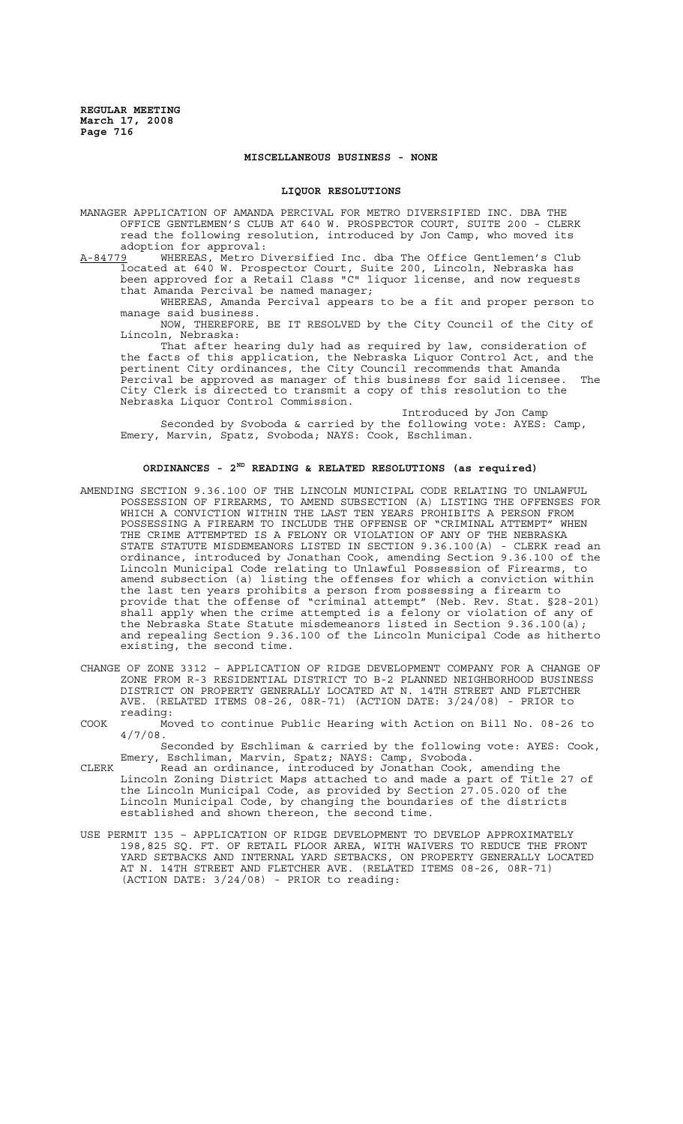## **MISCELLANEOUS BUSINESS - NONE**

## **LIQUOR RESOLUTIONS**

MANAGER APPLICATION OF AMANDA PERCIVAL FOR METRO DIVERSIFIED INC. DBA THE OFFICE GENTLEMEN'S CLUB AT 640 W. PROSPECTOR COURT, SUITE 200 - CLERK read the following resolution, introduced by Jon Camp, who moved its adoption for approval:<br>A-84779 WHEREAS, Metro D

A-84779 WHEREAS, Metro Diversified Inc. dba The Office Gentlemen's Club located at 640 W. Prospector Court, Suite 200, Lincoln, Nebraska has been approved for a Retail Class "C" liquor license, and now requests that Amanda Percival be named manager;

WHEREAS, Amanda Percival appears to be a fit and proper person to manage said business.

NOW, THEREFORE, BE IT RESOLVED by the City Council of the City of Lincoln, Nebraska:

That after hearing duly had as required by law, consideration of the facts of this application, the Nebraska Liquor Control Act, and the pertinent City ordinances, the City Council recommends that Amanda Percival be approved as manager of this business for said licensee. The City Clerk is directed to transmit a copy of this resolution to the Nebraska Liquor Control Commission.

Introduced by Jon Camp Seconded by Svoboda & carried by the following vote: AYES: Camp, Emery, Marvin, Spatz, Svoboda; NAYS: Cook, Eschliman.

## **ORDINANCES - 2ND READING & RELATED RESOLUTIONS (as required)**

- AMENDING SECTION 9.36.100 OF THE LINCOLN MUNICIPAL CODE RELATING TO UNLAWFUL POSSESSION OF FIREARMS, TO AMEND SUBSECTION (A) LISTING THE OFFENSES FOR WHICH A CONVICTION WITHIN THE LAST TEN YEARS PROHIBITS A PERSON FROM POSSESSING A FIREARM TO INCLUDE THE OFFENSE OF "CRIMINAL ATTEMPT" WHEN THE CRIME ATTEMPTED IS A FELONY OR VIOLATION OF ANY OF THE NEBRASKA STATE STATUTE MISDEMEANORS LISTED IN SECTION 9.36.100(A) - CLERK read an ordinance, introduced by Jonathan Cook, amending Section 9.36.100 of the Lincoln Municipal Code relating to Unlawful Possession of Firearms, to amend subsection (a) listing the offenses for which a conviction within the last ten years prohibits a person from possessing a firearm to provide that the offense of "criminal attempt" (Neb. Rev. Stat. §28-201) shall apply when the crime attempted is a felony or violation of any of the Nebraska State Statute misdemeanors listed in Section 9.36.100(a); and repealing Section 9.36.100 of the Lincoln Municipal Code as hitherto existing, the second time.
- CHANGE OF ZONE 3312 APPLICATION OF RIDGE DEVELOPMENT COMPANY FOR A CHANGE OF ZONE FROM R-3 RESIDENTIAL DISTRICT TO B-2 PLANNED NEIGHBORHOOD BUSINESS DISTRICT ON PROPERTY GENERALLY LOCATED AT N. 14TH STREET AND FLETCHER AVE. (RELATED ITEMS 08-26, 08R-71) (ACTION DATE: 3/24/08) - PRIOR to reading:
- COOK Moved to continue Public Hearing with Action on Bill No. 08-26 to 4/7/08.
- Seconded by Eschliman & carried by the following vote: AYES: Cook, Emery, Eschliman, Marvin, Spatz; NAYS: Camp, Svoboda.
- CLERK Read an ordinance, introduced by Jonathan Cook, amending the Lincoln Zoning District Maps attached to and made a part of Title 27 of the Lincoln Municipal Code, as provided by Section 27.05.020 of the Lincoln Municipal Code, by changing the boundaries of the districts established and shown thereon, the second time.
- USE PERMIT 135 APPLICATION OF RIDGE DEVELOPMENT TO DEVELOP APPROXIMATELY 198,825 SQ. FT. OF RETAIL FLOOR AREA, WITH WAIVERS TO REDUCE THE FRONT YARD SETBACKS AND INTERNAL YARD SETBACKS, ON PROPERTY GENERALLY LOCATED AT N. 14TH STREET AND FLETCHER AVE. (RELATED ITEMS 08-26, 08R-71) (ACTION DATE: 3/24/08) - PRIOR to reading: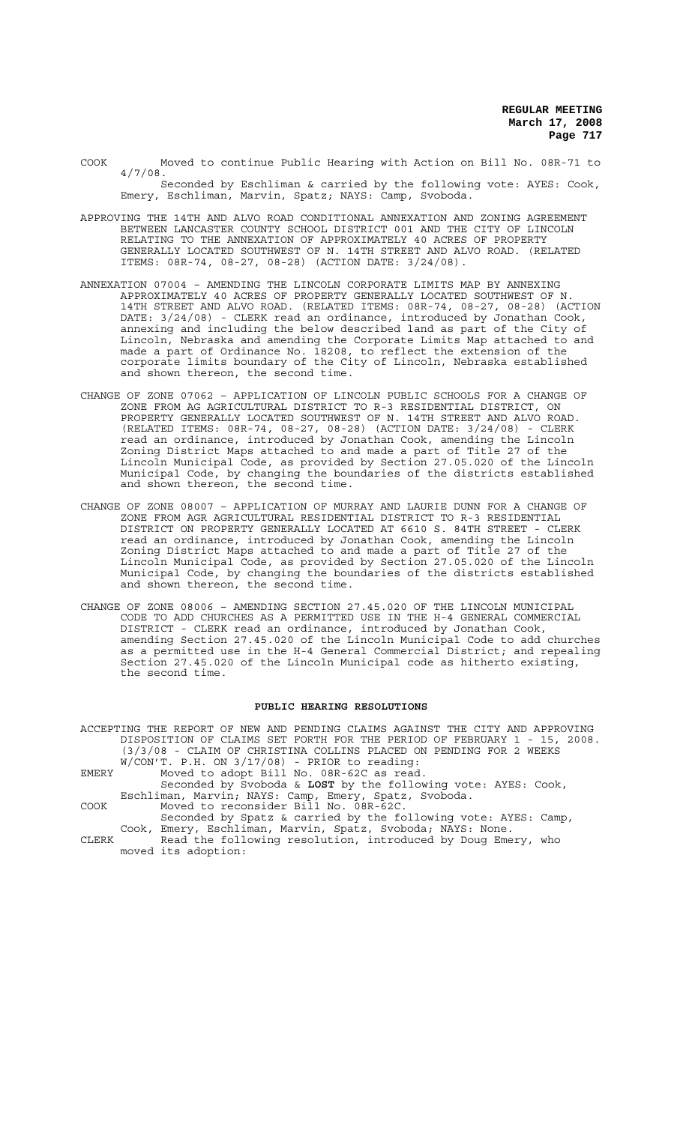COOK Moved to continue Public Hearing with Action on Bill No. 08R-71 to 4/7/08.

- Seconded by Eschliman & carried by the following vote: AYES: Cook, Emery, Eschliman, Marvin, Spatz; NAYS: Camp, Svoboda.
- APPROVING THE 14TH AND ALVO ROAD CONDITIONAL ANNEXATION AND ZONING AGREEMENT BETWEEN LANCASTER COUNTY SCHOOL DISTRICT 001 AND THE CITY OF LINCOLN RELATING TO THE ANNEXATION OF APPROXIMATELY 40 ACRES OF PROPERTY GENERALLY LOCATED SOUTHWEST OF N. 14TH STREET AND ALVO ROAD. (RELATED ITEMS: 08R-74, 08-27, 08-28) (ACTION DATE: 3/24/08).
- ANNEXATION 07004 AMENDING THE LINCOLN CORPORATE LIMITS MAP BY ANNEXING APPROXIMATELY 40 ACRES OF PROPERTY GENERALLY LOCATED SOUTHWEST OF N. 14TH STREET AND ALVO ROAD. (RELATED ITEMS: 08R-74, 08-27, 08-28) (ACTION DATE: 3/24/08) - CLERK read an ordinance, introduced by Jonathan Cook, annexing and including the below described land as part of the City of Lincoln, Nebraska and amending the Corporate Limits Map attached to and made a part of Ordinance No. 18208, to reflect the extension of the corporate limits boundary of the City of Lincoln, Nebraska established and shown thereon, the second time.
- CHANGE OF ZONE 07062 APPLICATION OF LINCOLN PUBLIC SCHOOLS FOR A CHANGE OF ZONE FROM AG AGRICULTURAL DISTRICT TO R-3 RESIDENTIAL DISTRICT, ON PROPERTY GENERALLY LOCATED SOUTHWEST OF N. 14TH STREET AND ALVO ROAD. (RELATED ITEMS: 08R-74, 08-27, 08-28) (ACTION DATE: 3/24/08) - CLERK read an ordinance, introduced by Jonathan Cook, amending the Lincoln Zoning District Maps attached to and made a part of Title 27 of the Lincoln Municipal Code, as provided by Section 27.05.020 of the Lincoln Municipal Code, by changing the boundaries of the districts established and shown thereon, the second time.
- CHANGE OF ZONE 08007 APPLICATION OF MURRAY AND LAURIE DUNN FOR A CHANGE OF ZONE FROM AGR AGRICULTURAL RESIDENTIAL DISTRICT TO R-3 RESIDENTIAL DISTRICT ON PROPERTY GENERALLY LOCATED AT 6610 S. 84TH STREET - CLERK read an ordinance, introduced by Jonathan Cook, amending the Lincoln Zoning District Maps attached to and made a part of Title 27 of the Lincoln Municipal Code, as provided by Section 27.05.020 of the Lincoln Municipal Code, by changing the boundaries of the districts established and shown thereon, the second time.
- CHANGE OF ZONE 08006 AMENDING SECTION 27.45.020 OF THE LINCOLN MUNICIPAL CODE TO ADD CHURCHES AS A PERMITTED USE IN THE H-4 GENERAL COMMERCIAL DISTRICT - CLERK read an ordinance, introduced by Jonathan Cook, amending Section 27.45.020 of the Lincoln Municipal Code to add churches as a permitted use in the H-4 General Commercial District; and repealing Section 27.45.020 of the Lincoln Municipal code as hitherto existing, the second time.

#### **PUBLIC HEARING RESOLUTIONS**

ACCEPTING THE REPORT OF NEW AND PENDING CLAIMS AGAINST THE CITY AND APPROVING DISPOSITION OF CLAIMS SET FORTH FOR THE PERIOD OF FEBRUARY 1 - 15, 2008. (3/3/08 - CLAIM OF CHRISTINA COLLINS PLACED ON PENDING FOR 2 WEEKS W/CON'T. P.H. ON 3/17/08) - PRIOR to reading: EMERY Moved to adopt Bill No. 08R-62C as read.

- Seconded by Svoboda & **LOST** by the following vote: AYES: Cook, Eschliman, Marvin; NAYS: Camp, Emery, Spatz, Svoboda. COOK Moved to reconsider Bill No. 08R-62C.
- Seconded by Spatz & carried by the following vote: AYES: Camp, Cook, Emery, Eschliman, Marvin, Spatz, Svoboda; NAYS: None. CLERK Read the following resolution, introduced by Doug Emery, who
	- moved its adoption: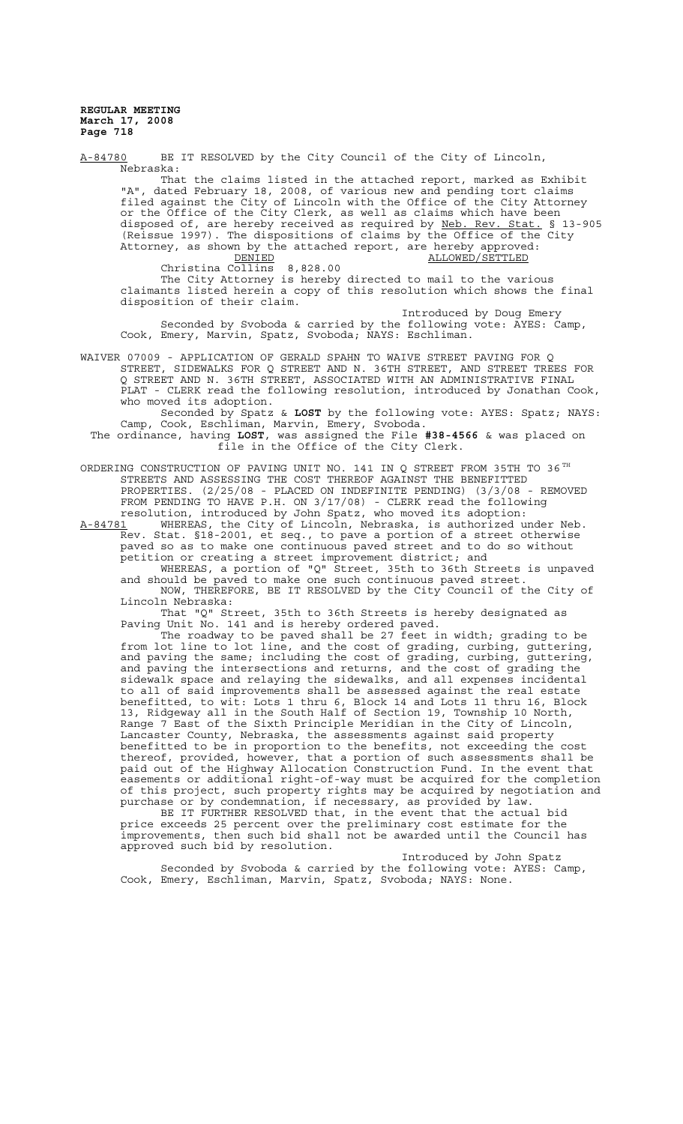A-84780 BE IT RESOLVED by the City Council of the City of Lincoln, Nebraska: That the claims listed in the attached report, marked as Exhibit "A", dated February 18, 2008, of various new and pending tort claims filed against the City of Lincoln with the Office of the City Attorney or the Office of the City Clerk, as well as claims which have been disposed of, are hereby received as required by Neb. Rev. Stat. § 13-905 (Reissue 1997). The dispositions of claims by the Office of the City Attorney, as shown by the attached report, are hereby approved:<br>ALLOWED/SETTLED 8,828.00 ALLOWED/SETTLED Christina Collins The City Attorney is hereby directed to mail to the various claimants listed herein a copy of this resolution which shows the final disposition of their claim. Introduced by Doug Emery Seconded by Svoboda & carried by the following vote: AYES: Camp, Cook, Emery, Marvin, Spatz, Svoboda; NAYS: Eschliman. WAIVER 07009 - APPLICATION OF GERALD SPAHN TO WAIVE STREET PAVING FOR Q STREET, SIDEWALKS FOR Q STREET AND N. 36TH STREET, AND STREET TREES FOR Q STREET AND N. 36TH STREET, ASSOCIATED WITH AN ADMINISTRATIVE FINAL PLAT - CLERK read the following resolution, introduced by Jonathan Cook, who moved its adoption. Seconded by Spatz & **LOST** by the following vote: AYES: Spatz; NAYS: Camp, Cook, Eschliman, Marvin, Emery, Svoboda. The ordinance, having **LOST**, was assigned the File **#38-4566** & was placed on file in the Office of the City Clerk. ORDERING CONSTRUCTION OF PAVING UNIT NO. 141 IN Q STREET FROM 35TH TO 36 $^{TH}$ STREETS AND ASSESSING THE COST THEREOF AGAINST THE BENEFITTED PROPERTIES. (2/25/08 - PLACED ON INDEFINITE PENDING) (3/3/08 - REMOVED FROM PENDING TO HAVE P.H. ON 3/17/08) - CLERK read the following resolution, introduced by John Spatz, who moved its adoption:<br>A-84781 WHEREAS, the City of Lincoln, Nebraska, is authorized u A-84781 WHEREAS, the City of Lincoln, Nebraska, is authorized under Neb. Rev. Stat. §18-2001, et seq., to pave a portion of a street otherwise paved so as to make one continuous paved street and to do so without petition or creating a street improvement district; and WHEREAS, a portion of "Q" Street, 35th to 36th Streets is unpaved and should be paved to make one such continuous paved street. NOW, THEREFORE, BE IT RESOLVED by the City Council of the City of Lincoln Nebraska: That "Q" Street, 35th to 36th Streets is hereby designated as Paving Unit No. 141 and is hereby ordered paved. The roadway to be paved shall be 27 feet in width; grading to be from lot line to lot line, and the cost of grading, curbing, guttering, and paving the same; including the cost of grading, curbing, guttering, and paving the intersections and returns, and the cost of grading the sidewalk space and relaying the sidewalks, and all expenses incidental to all of said improvements shall be assessed against the real estate benefitted, to wit: Lots 1 thru 6, Block 14 and Lots 11 thru 16, Block 13, Ridgeway all in the South Half of Section 19, Township 10 North, Range 7 East of the Sixth Principle Meridian in the City of Lincoln, Lancaster County, Nebraska, the assessments against said property benefitted to be in proportion to the benefits, not exceeding the cost thereof, provided, however, that a portion of such assessments shall be paid out of the Highway Allocation Construction Fund. In the event that easements or additional right-of-way must be acquired for the completion of this project, such property rights may be acquired by negotiation and purchase or by condemnation, if necessary, as provided by law. BE IT FURTHER RESOLVED that, in the event that the actual bid price exceeds 25 percent over the preliminary cost estimate for the improvements, then such bid shall not be awarded until the Council has approved such bid by resolution.

Introduced by John Spatz Seconded by Svoboda & carried by the following vote: AYES: Camp, Cook, Emery, Eschliman, Marvin, Spatz, Svoboda; NAYS: None.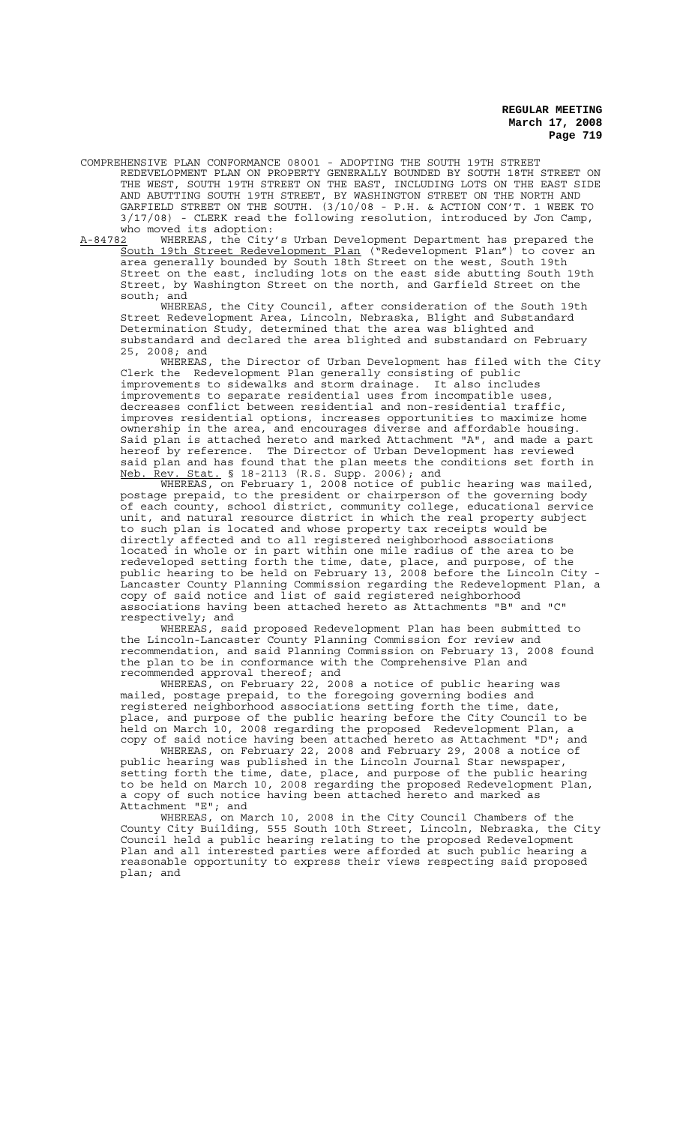COMPREHENSIVE PLAN CONFORMANCE 08001 - ADOPTING THE SOUTH 19TH STREET REDEVELOPMENT PLAN ON PROPERTY GENERALLY BOUNDED BY SOUTH 18TH STREET ON THE WEST, SOUTH 19TH STREET ON THE EAST, INCLUDING LOTS ON THE EAST SIDE AND ABUTTING SOUTH 19TH STREET, BY WASHINGTON STREET ON THE NORTH AND GARFIELD STREET ON THE SOUTH. (3/10/08 - P.H. & ACTION CON'T. 1 WEEK TO 3/17/08) - CLERK read the following resolution, introduced by Jon Camp, who moved its adoption:<br> $A-84782$  WHEREAS, the City

WHEREAS, the City's Urban Development Department has prepared the South 19th Street Redevelopment Plan ("Redevelopment Plan") to cover an area generally bounded by South 18th Street on the west, South 19th Street on the east, including lots on the east side abutting South 19th Street, by Washington Street on the north, and Garfield Street on the south; and

WHEREAS, the City Council, after consideration of the South 19th Street Redevelopment Area, Lincoln, Nebraska, Blight and Substandard Determination Study, determined that the area was blighted and substandard and declared the area blighted and substandard on February 25, 2008; and

WHEREAS, the Director of Urban Development has filed with the City Clerk the Redevelopment Plan generally consisting of public improvements to sidewalks and storm drainage. It also includes improvements to separate residential uses from incompatible uses decreases conflict between residential and non-residential traffic, improves residential options, increases opportunities to maximize home ownership in the area, and encourages diverse and affordable housing. Said plan is attached hereto and marked Attachment "A", and made a part hereof by reference. The Director of Urban Development has reviewed said plan and has found that the plan meets the conditions set forth in Neb. Rev. Stat. § 18-2113 (R.S. Supp. 2006); and

WHEREAS, on February 1, 2008 notice of public hearing was mailed, postage prepaid, to the president or chairperson of the governing body of each county, school district, community college, educational service unit, and natural resource district in which the real property subject to such plan is located and whose property tax receipts would be directly affected and to all registered neighborhood associations located in whole or in part within one mile radius of the area to be redeveloped setting forth the time, date, place, and purpose, of the public hearing to be held on February 13, 2008 before the Lincoln City - Lancaster County Planning Commission regarding the Redevelopment Plan, a copy of said notice and list of said registered neighborhood associations having been attached hereto as Attachments "B" and "C" respectively; and

WHEREAS, said proposed Redevelopment Plan has been submitted to the Lincoln-Lancaster County Planning Commission for review and recommendation, and said Planning Commission on February 13, 2008 found the plan to be in conformance with the Comprehensive Plan and recommended approval thereof; and

WHEREAS, on February 22, 2008 a notice of public hearing was mailed, postage prepaid, to the foregoing governing bodies and registered neighborhood associations setting forth the time, date, place, and purpose of the public hearing before the City Council to be held on March 10, 2008 regarding the proposed Redevelopment Plan, a copy of said notice having been attached hereto as Attachment "D"; and

WHEREAS, on February 22, 2008 and February 29, 2008 a notice of public hearing was published in the Lincoln Journal Star newspaper, setting forth the time, date, place, and purpose of the public hearing to be held on March 10, 2008 regarding the proposed Redevelopment Plan, a copy of such notice having been attached hereto and marked as Attachment "E"; and

WHEREAS, on March 10, 2008 in the City Council Chambers of the County City Building, 555 South 10th Street, Lincoln, Nebraska, the City Council held a public hearing relating to the proposed Redevelopment Plan and all interested parties were afforded at such public hearing a reasonable opportunity to express their views respecting said proposed plan; and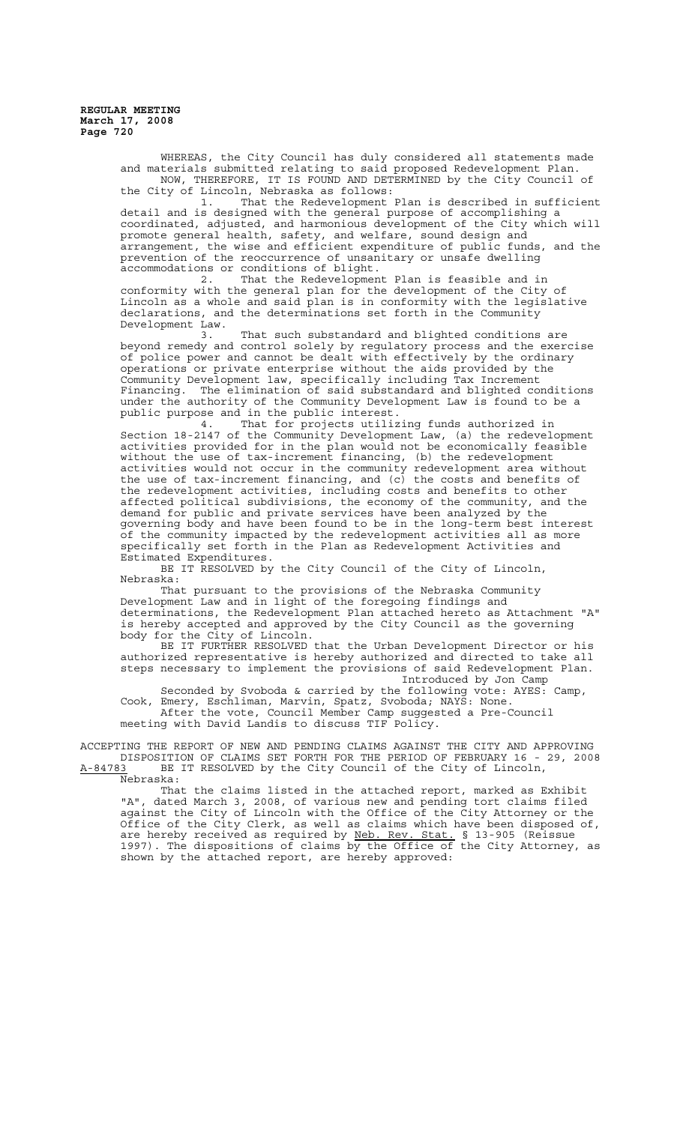> WHEREAS, the City Council has duly considered all statements made and materials submitted relating to said proposed Redevelopment Plan. NOW, THEREFORE, IT IS FOUND AND DETERMINED by the City Council of the City of Lincoln, Nebraska as follows:<br>1. That the Redevelopment

That the Redevelopment Plan is described in sufficient detail and is designed with the general purpose of accomplishing a coordinated, adjusted, and harmonious development of the City which will promote general health, safety, and welfare, sound design and arrangement, the wise and efficient expenditure of public funds, and the prevention of the reoccurrence of unsanitary or unsafe dwelling accommodations or conditions of blight.<br>2 That the Redevelopmen

That the Redevelopment Plan is feasible and in conformity with the general plan for the development of the City of Lincoln as a whole and said plan is in conformity with the legislative declarations, and the determinations set forth in the Community

Development Law. That such substandard and blighted conditions are beyond remedy and control solely by regulatory process and the exercise of police power and cannot be dealt with effectively by the ordinary operations or private enterprise without the aids provided by the Community Development law, specifically including Tax Increment Financing. The elimination of said substandard and blighted conditions under the authority of the Community Development Law is found to be a public purpose and in the public interest.

4. That for projects utilizing funds authorized in Section 18-2147 of the Community Development Law, (a) the redevelopment activities provided for in the plan would not be economically feasible without the use of tax-increment financing, (b) the redevelopment activities would not occur in the community redevelopment area without the use of tax-increment financing, and  $(c)$  the costs and benefits of the redevelopment activities, including costs and benefits to other<br>affected political subdivisions, the economy of the community, and the affected political subdivisions, the economy of the community, demand for public and private services have been analyzed by the governing body and have been found to be in the long-term best interest of the community impacted by the redevelopment activities all as more specifically set forth in the Plan as Redevelopment Activities and Estimated Expenditures.

BE IT RESOLVED by the City Council of the City of Lincoln, Nebraska:

That pursuant to the provisions of the Nebraska Community Development Law and in light of the foregoing findings and determinations, the Redevelopment Plan attached hereto as Attachment "A" is hereby accepted and approved by the City Council as the governing body for the City of Lincoln.

BE IT FURTHER RESOLVED that the Urban Development Director or his authorized representative is hereby authorized and directed to take all steps necessary to implement the provisions of said Redevelopment Plan. Introduced by Jon Camp

Seconded by Svoboda & carried by the following vote: AYES: Camp, Cook, Emery, Eschliman, Marvin, Spatz, Svoboda; NAYS: None. After the vote, Council Member Camp suggested a Pre-Council meeting with David Landis to discuss TIF Policy.

ACCEPTING THE REPORT OF NEW AND PENDING CLAIMS AGAINST THE CITY AND APPROVING DISPOSITION OF CLAIMS SET FORTH FOR THE PERIOD OF FEBRUARY 16 - 29, 2008<br>A-84783 BE IT RESOLVED by the City Council of the City of Lincoln, BE IT RESOLVED by the City Council of the City of Lincoln,

Nebraska:

That the claims listed in the attached report, marked as Exhibit "A", dated March 3, 2008, of various new and pending tort claims filed against the City of Lincoln with the Office of the City Attorney or the Office of the City Clerk, as well as claims which have been disposed of, are hereby received as required by Neb. Rev. Stat. § 13-905 (Reissue 1997). The dispositions of claims by the Office of the City Attorney, as shown by the attached report, are hereby approved: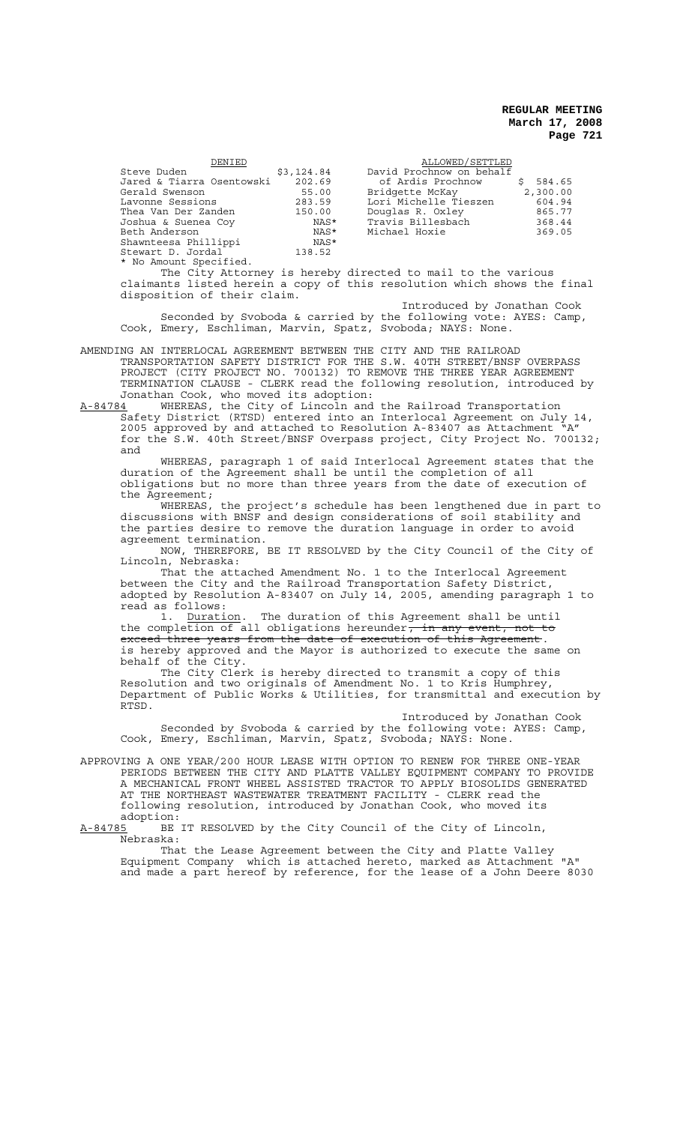| DENIED                    |            | ALLOWED/SETTLED          |          |
|---------------------------|------------|--------------------------|----------|
| Steve Duden               | \$3,124.84 | David Prochnow on behalf |          |
| Jared & Tiarra Osentowski | 202.69     | of Ardis Prochnow        | \$584.65 |
| Gerald Swenson            | 55.00      | Bridgette McKay          | 2,300.00 |
| Lavonne Sessions          | 283.59     | Lori Michelle Tieszen    | 604.94   |
| Thea Van Der Zanden       | 150.00     | Douglas R. Oxley         | 865.77   |
| Joshua & Suenea Coy       | NAS*       | Travis Billesbach        | 368.44   |
| Beth Anderson             | NAS*       | Michael Hoxie            | 369.05   |
| Shawnteesa Phillippi      | NAS*       |                          |          |
| Stewart D. Jordal         | 138.52     |                          |          |
| * No Amount Specified.    |            |                          |          |

The City Attorney is hereby directed to mail to the various claimants listed herein a copy of this resolution which shows the final disposition of their claim.

Introduced by Jonathan Cook Seconded by Svoboda & carried by the following vote: AYES: Camp, Cook, Emery, Eschliman, Marvin, Spatz, Svoboda; NAYS: None.

AMENDING AN INTERLOCAL AGREEMENT BETWEEN THE CITY AND THE RAILROAD TRANSPORTATION SAFETY DISTRICT FOR THE S.W. 40TH STREET/BNSF OVERPASS PROJECT (CITY PROJECT NO. 700132) TO REMOVE THE THREE YEAR AGREEMENT TERMINATION CLAUSE - CLERK read the following resolution, introduced by Jonathan Cook, who moved its adoption:

A-84784 MHEREAS, the City of Lincoln and the Railroad Transportation Safety District (RTSD) entered into an Interlocal Agreement on July 14, 2005 approved by and attached to Resolution A-83407 as Attachment "A" for the S.W. 40th Street/BNSF Overpass project, City Project No. 700132; and

WHEREAS, paragraph 1 of said Interlocal Agreement states that the duration of the Agreement shall be until the completion of all obligations but no more than three years from the date of execution of the Agreement;

WHEREAS, the project's schedule has been lengthened due in part to discussions with BNSF and design considerations of soil stability and the parties desire to remove the duration language in order to avoid agreement termination.

NOW, THEREFORE, BE IT RESOLVED by the City Council of the City of Lincoln, Nebraska:

That the attached Amendment No. 1 to the Interlocal Agreement between the City and the Railroad Transportation Safety District, adopted by Resolution A-83407 on July 14, 2005, amending paragraph 1 to

read as follows:<br>1. <u>Duration</u>. The duration of this Agreement shall be until the completion of all obligations hereunder, in any event, not to<br>exceed three years from the date of execution of this Agreement. <del>exceed three years from the date of execution of this Agreement</del>.<br>is hereby approved and the Mayor is authorized to execute the same on behalf of the City.

The City Clerk is hereby directed to transmit a copy of this Resolution and two originals of Amendment No. 1 to Kris Humphrey, Department of Public Works & Utilities, for transmittal and execution by RTSD.

Introduced by Jonathan Cook

Seconded by Svoboda & carried by the following vote: AYES: Camp, Cook, Emery, Eschliman, Marvin, Spatz, Svoboda; NAYS: None.

APPROVING A ONE YEAR/200 HOUR LEASE WITH OPTION TO RENEW FOR THREE ONE-YEAR PERIODS BETWEEN THE CITY AND PLATTE VALLEY EQUIPMENT COMPANY TO PROVIDE A MECHANICAL FRONT WHEEL ASSISTED TRACTOR TO APPLY BIOSOLIDS GENERATED AT THE NORTHEAST WASTEWATER TREATMENT FACILITY - CLERK read the following resolution, introduced by Jonathan Cook, who moved its adoption:<br>A-84785 BE

BE IT RESOLVED by the City Council of the City of Lincoln, Nebraska:

That the Lease Agreement between the City and Platte Valley Equipment Company which is attached hereto, marked as Attachment "A" and made a part hereof by reference, for the lease of a John Deere 8030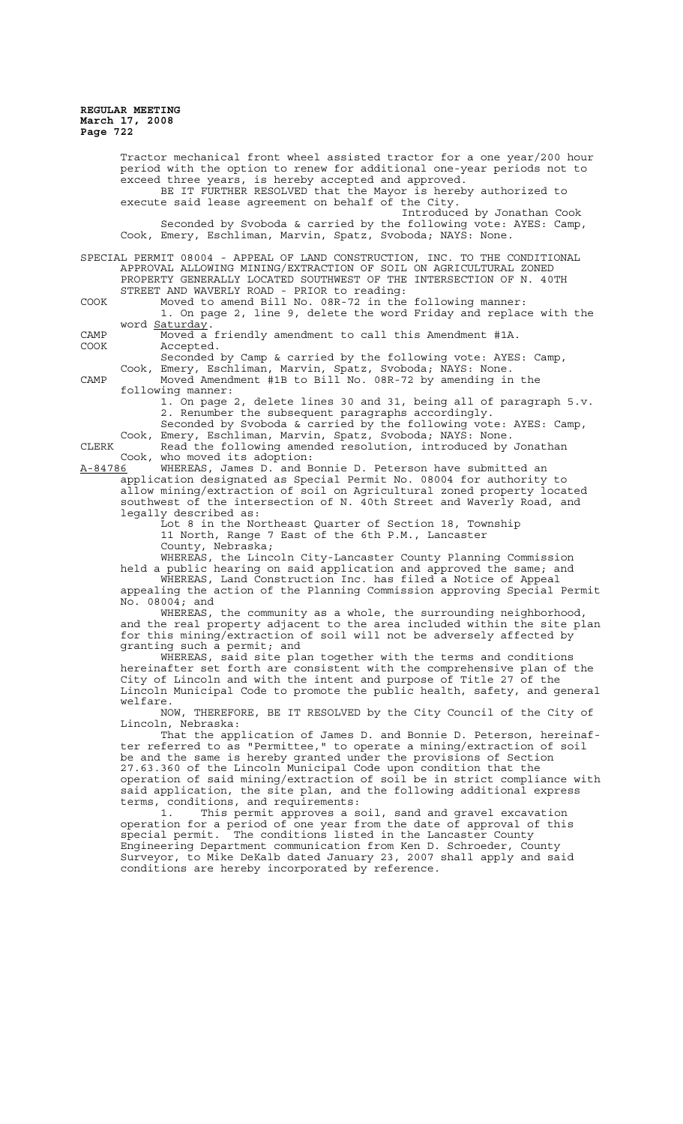Tractor mechanical front wheel assisted tractor for a one year/200 hour period with the option to renew for additional one-year periods not to exceed three years, is hereby accepted and approved. BE IT FURTHER RESOLVED that the Mayor is hereby authorized to execute said lease agreement on behalf of the City. Introduced by Jonathan Cook Seconded by Svoboda & carried by the following vote: AYES: Camp, Cook, Emery, Eschliman, Marvin, Spatz, Svoboda; NAYS: None. SPECIAL PERMIT 08004 - APPEAL OF LAND CONSTRUCTION, INC. TO THE CONDITIONAL APPROVAL ALLOWING MINING/EXTRACTION OF SOIL ON AGRICULTURAL ZONED PROPERTY GENERALLY LOCATED SOUTHWEST OF THE INTERSECTION OF N. 40TH STREET AND WAVERLY ROAD - PRIOR to reading: COOK Moved to amend Bill No. 08R-72 in the following manner: 1. On page 2, line 9, delete the word Friday and replace with the word Saturday. CAMP Moved a friendly amendment to call this Amendment #1A. Accepted. Seconded by Camp & carried by the following vote: AYES: Camp, Cook, Emery, Eschliman, Marvin, Spatz, Svoboda; NAYS: None. CAMP Moved Amendment #1B to Bill No. 08R-72 by amending in the following manner: 1. On page 2, delete lines 30 and 31, being all of paragraph 5.v. 2. Renumber the subsequent paragraphs accordingly. Seconded by Svoboda & carried by the following vote: AYES: Camp, Cook, Emery, Eschliman, Marvin, Spatz, Svoboda; NAYS: None. CLERK Read the following amended resolution, introduced by Jonathan Cook, who moved its adoption:<br>A-84786 WHEREAS, James D. and B WHEREAS, James D. and Bonnie D. Peterson have submitted an application designated as Special Permit No. 08004 for authority to allow mining/extraction of soil on Agricultural zoned property located southwest of the intersection of N. 40th Street and Waverly Road, and legally described as: Lot 8 in the Northeast Quarter of Section 18, Township 11 North, Range 7 East of the 6th P.M., Lancaster County, Nebraska; WHEREAS, the Lincoln City-Lancaster County Planning Commission held a public hearing on said application and approved the same; and WHEREAS, Land Construction Inc. has filed a Notice of Appeal appealing the action of the Planning Commission approving Special Permit No. 08004; and WHEREAS, the community as a whole, the surrounding neighborhood, and the real property adjacent to the area included within the site plan for this mining/extraction of soil will not be adversely affected by granting such a permit; and WHEREAS, said site plan together with the terms and conditions hereinafter set forth are consistent with the comprehensive plan of the City of Lincoln and with the intent and purpose of Title 27 of the Lincoln Municipal Code to promote the public health, safety, and general welfare. NOW, THEREFORE, BE IT RESOLVED by the City Council of the City of Lincoln, Nebraska: That the application of James D. and Bonnie D. Peterson, hereinaf-

ter referred to as "Permittee," to operate a mining/extraction of soil be and the same is hereby granted under the provisions of Section 27.63.360 of the Lincoln Municipal Code upon condition that the operation of said mining/extraction of soil be in strict compliance with said application, the site plan, and the following additional express terms, conditions, and requirements:<br>1. This permit approves a s

1. This permit approves a soil, sand and gravel excavation operation for a period of one year from the date of approval of this special permit. The conditions listed in the Lancaster County Engineering Department communication from Ken D. Schroeder, County Surveyor, to Mike DeKalb dated January 23, 2007 shall apply and said conditions are hereby incorporated by reference.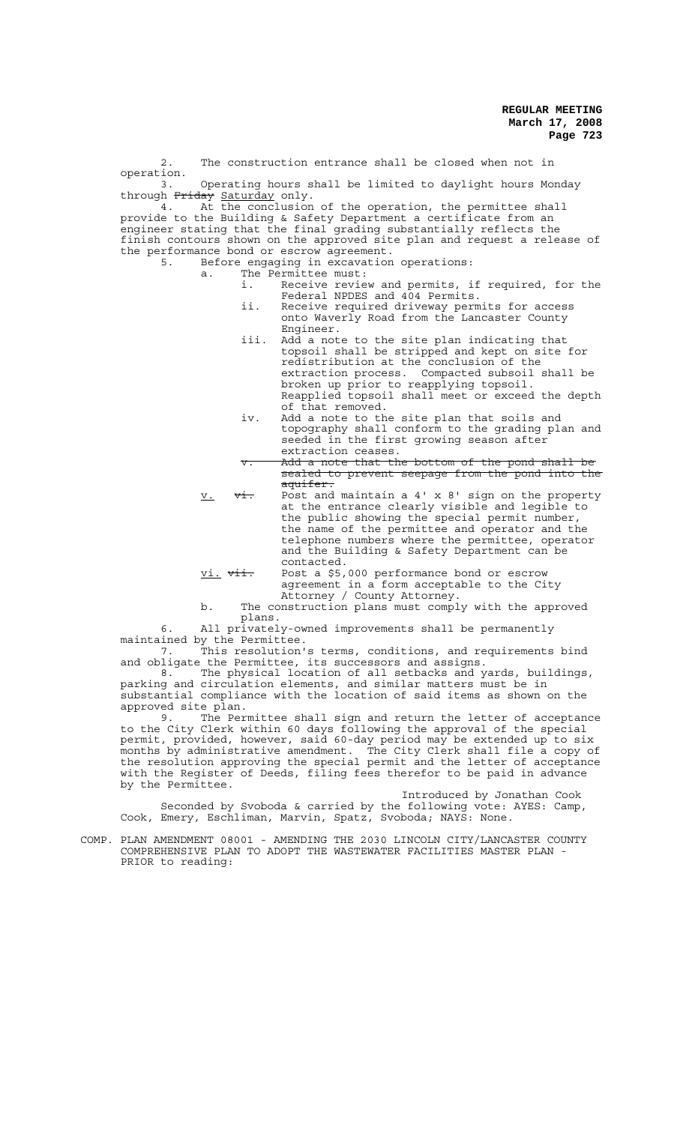2. The construction entrance shall be closed when not in operation. 3. Operating hours shall be limited to daylight hours Monday through Friday Saturday only. 4. At the conclusion of the operation, the permittee shall provide to the Building & Safety Department a certificate from an engineer stating that the final grading substantially reflects the finish contours shown on the approved site plan and request a release of the performance bond or escrow agreement.<br>5. Before engaging in excavation 5. Before engaging in excavation operations: a. The Permittee must: i. Receive review and permits, if required, for the Federal NPDES and 404 Permits. ii. Receive required driveway permits for access onto Waverly Road from the Lancaster County Engineer. iii. Add a note to the site plan indicating that topsoil shall be stripped and kept on site for redistribution at the conclusion of the extraction process. Compacted subsoil shall be broken up prior to reapplying topsoil. Reapplied topsoil shall meet or exceed the depth of that removed. iv. Add a note to the site plan that soils and topography shall conform to the grading plan and seeded in the first growing season after extraction ceases. v. Add a note that the bottom of the pond shall be sealed to prevent seepage from the pond into the aquifer. a<del>quifer.</del><br>International maintain a 4' x 8' sign on the property with a 4' x 8' sign on the property at the entrance clearly visible and legible to the public showing the special permit number, the name of the permittee and operator and the telephone numbers where the permittee, operator and the Building & Safety Department can be

contacted. vi. <del>vii.</del> Post a \$5,000 performance bond or escrow agreement in a form acceptable to the City Attorney / County Attorney.

b. The construction plans must comply with the approved plans.

6. All privately-owned improvements shall be permanently maintained by the Permittee.<br>7 This resolution'

7. This resolution's terms, conditions, and requirements bind and obligate the Permittee, its successors and assigns.

8. The physical location of all setbacks and yards, buildings, parking and circulation elements, and similar matters must be in substantial compliance with the location of said items as shown on the approved site plan.

9. The Permittee shall sign and return the letter of acceptance to the City Clerk within 60 days following the approval of the special permit, provided, however, said 60-day period may be extended up to six months by administrative amendment. The City Clerk shall file a copy of the resolution approving the special permit and the letter of acceptance with the Register of Deeds, filing fees therefor to be paid in advance by the Permittee.

Introduced by Jonathan Cook Seconded by Svoboda & carried by the following vote: AYES: Camp, Cook, Emery, Eschliman, Marvin, Spatz, Svoboda; NAYS: None.

COMP. PLAN AMENDMENT 08001 - AMENDING THE 2030 LINCOLN CITY/LANCASTER COUNTY COMPREHENSIVE PLAN TO ADOPT THE WASTEWATER FACILITIES MASTER PLAN - PRIOR to reading: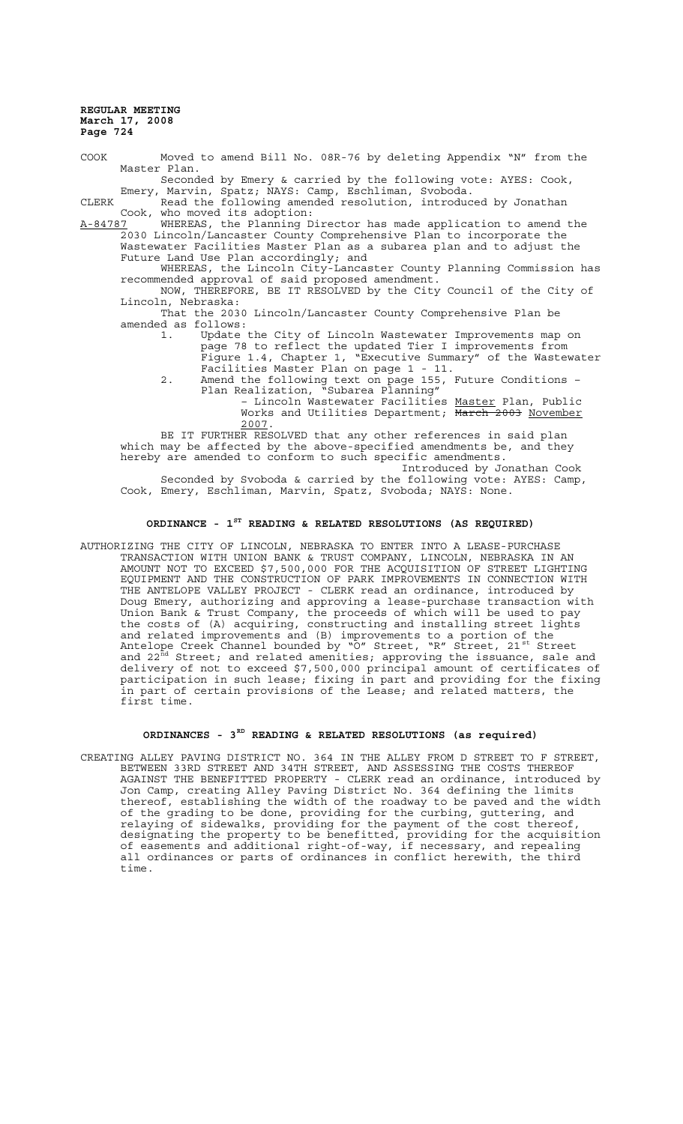COOK Moved to amend Bill No. 08R-76 by deleting Appendix "N" from the Master Plan. Seconded by Emery & carried by the following vote: AYES: Cook,

Emery, Marvin, Spatz; NAYS: Camp, Eschliman, Svoboda. CLERK Read the following amended resolution, introduced by Jonathan

Cook, who moved its adoption:<br>A-84787 WHEREAS, the Planning D WHEREAS, the Planning Director has made application to amend the 2030 Lincoln/Lancaster County Comprehensive Plan to incorporate the Wastewater Facilities Master Plan as a subarea plan and to adjust the Future Land Use Plan accordingly; and

WHEREAS, the Lincoln City-Lancaster County Planning Commission has recommended approval of said proposed amendment.

NOW, THEREFORE, BE IT RESOLVED by the City Council of the City of Lincoln, Nebraska:

That the 2030 Lincoln/Lancaster County Comprehensive Plan be amended as follows:

1. Update the City of Lincoln Wastewater Improvements map on page 78 to reflect the updated Tier I improvements from Figure 1.4, Chapter 1, "Executive Summary" of the Wastewater Facilities Master Plan on page 1 - 11.

2. Amend the following text on page 155, Future Conditions – Plan Realization, "Subarea Planning"

– Lincoln Wastewater Facilities Master Plan, Public Works and Utilities Department; March 2003 November 2007.

BE IT FURTHER RESOLVED that any other references in said plan which may be affected by the above-specified amendments be, and they hereby are amended to conform to such specific amendments.

Introduced by Jonathan Cook Seconded by Svoboda & carried by the following vote: AYES: Camp, Cook, Emery, Eschliman, Marvin, Spatz, Svoboda; NAYS: None.

## **ORDINANCE - 1ST READING & RELATED RESOLUTIONS (AS REQUIRED)**

AUTHORIZING THE CITY OF LINCOLN, NEBRASKA TO ENTER INTO A LEASE-PURCHASE TRANSACTION WITH UNION BANK & TRUST COMPANY, LINCOLN, NEBRASKA IN AN AMOUNT NOT TO EXCEED \$7,500,000 FOR THE ACQUISITION OF STREET LIGHTING EQUIPMENT AND THE CONSTRUCTION OF PARK IMPROVEMENTS IN CONNECTION WITH THE ANTELOPE VALLEY PROJECT - CLERK read an ordinance, introduced by Doug Emery, authorizing and approving a lease-purchase transaction with Union Bank & Trust Company, the proceeds of which will be used to pay the costs of (A) acquiring, constructing and installing street lights and related improvements and (B) improvements to a portion of the Antelope Creek Channel bounded by "O" Street, "R" Street, 21<sup>st</sup> Street and 22 $^{\tt{\ddot{\textit{nd}}}}$  Street; and related amenities; approving the issuance, sale and delivery of not to exceed \$7,500,000 principal amount of certificates of participation in such lease; fixing in part and providing for the fixing in part of certain provisions of the Lease; and related matters, the first time.

## **ORDINANCES - 3RD READING & RELATED RESOLUTIONS (as required)**

CREATING ALLEY PAVING DISTRICT NO. 364 IN THE ALLEY FROM D STREET TO F STREET, BETWEEN 33RD STREET AND 34TH STREET, AND ASSESSING THE COSTS THEREOF AGAINST THE BENEFITTED PROPERTY - CLERK read an ordinance, introduced by Jon Camp, creating Alley Paving District No. 364 defining the limits thereof, establishing the width of the roadway to be paved and the width of the grading to be done, providing for the curbing, guttering, and relaying of sidewalks, providing for the payment of the cost thereof, designating the property to be benefitted, providing for the acquisition of easements and additional right-of-way, if necessary, and repealing all ordinances or parts of ordinances in conflict herewith, the third time.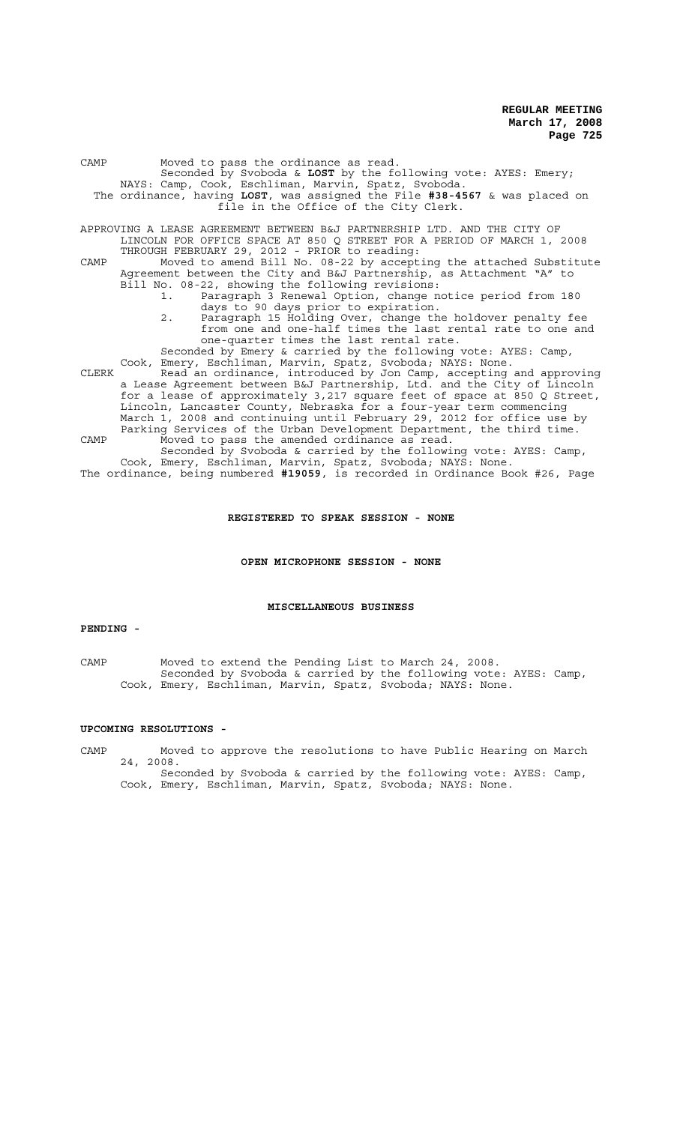| CAMP  | Moved to pass the ordinance as read.<br>Seconded by Svoboda & LOST by the following vote: AYES: Emery;                                                                                                                     |
|-------|----------------------------------------------------------------------------------------------------------------------------------------------------------------------------------------------------------------------------|
|       | NAYS: Camp, Cook, Eschliman, Marvin, Spatz, Svoboda.<br>The ordinance, having LOST, was assigned the File $#38-4567$ & was placed on<br>file in the Office of the City Clerk.                                              |
|       | APPROVING A LEASE AGREEMENT BETWEEN B&J PARTNERSHIP LTD. AND THE CITY OF<br>LINCOLN FOR OFFICE SPACE AT 850 Q STREET FOR A PERIOD OF MARCH 1, 2008<br>THROUGH FEBRUARY 29, 2012 - PRIOR to reading:                        |
| CAMP  | Moved to amend Bill No. 08-22 by accepting the attached Substitute<br>Agreement between the City and B&J Partnership, as Attachment "A" to<br>Bill No. 08-22, showing the following revisions:                             |
|       | Paragraph 3 Renewal Option, change notice period from 180<br>days to 90 days prior to expiration.                                                                                                                          |
|       | Paragraph 15 Holding Over, change the holdover penalty fee<br>2.<br>from one and one-half times the last rental rate to one and<br>one-quarter times the last rental rate.                                                 |
| CLERK | Seconded by Emery & carried by the following vote: AYES: Camp,<br>Cook, Emery, Eschliman, Marvin, Spatz, Svoboda; NAYS: None.<br>Read an ordinance, introduced by Jon Camp, accepting and approving                        |
|       | a Lease Agreement between B&J Partnership, Ltd. and the City of Lincoln<br>for a lease of approximately 3,217 square feet of space at 850 Q Street,<br>Lincoln, Lancaster County, Nebraska for a four-year term commencing |
|       | March 1, 2008 and continuing until February 29, 2012 for office use by<br>Parking Services of the Urban Development Department, the third time.                                                                            |
| CAMP  | Moved to pass the amended ordinance as read.<br>Seconded by Svoboda & carried by the following vote: AYES: Camp,                                                                                                           |
|       | Cook, Emery, Eschliman, Marvin, Spatz, Svoboda; NAYS: None.<br>The ordinance, being numbered #19059, is recorded in Ordinance Book #26, Page                                                                               |

# **REGISTERED TO SPEAK SESSION - NONE**

**OPEN MICROPHONE SESSION - NONE**

#### **MISCELLANEOUS BUSINESS**

## **PENDING -**

CAMP Moved to extend the Pending List to March 24, 2008. Seconded by Svoboda & carried by the following vote: AYES: Camp, Cook, Emery, Eschliman, Marvin, Spatz, Svoboda; NAYS: None.

## **UPCOMING RESOLUTIONS -**

CAMP Moved to approve the resolutions to have Public Hearing on March 24, 2008.

Seconded by Svoboda & carried by the following vote: AYES: Camp, Cook, Emery, Eschliman, Marvin, Spatz, Svoboda; NAYS: None.